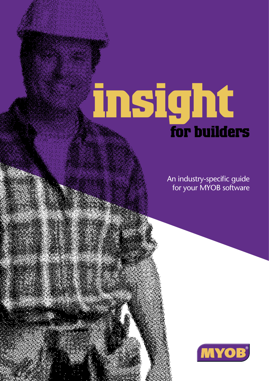# **insight for builders**

An industry-specific guide for your MYOB software

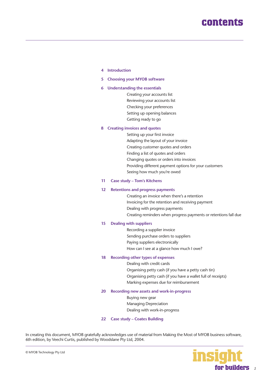# **[contents](#page-21-0)**

#### **[4 Introduction](#page-3-0)**

**[5 Choosing your MYOB software](#page-4-0)**

#### **[6 Understanding the essentials](#page-5-0)**

Creating your accounts list Reviewing your accounts list Checking your preferences Setting up opening balances Getting ready to go

#### **[8 Creating invoices and quotes](#page-7-0)**

Setting up your first invoice Adapting the layout of your invoice Creating customer quotes and orders Finding a list of quotes and orders Changing quotes or orders into invoices Providing different payment options for your customers Seeing how much you're owed

#### **[11 Case study – Tom's Kitchens](#page-10-0)**

#### **[12 Retentions and progress payments](#page-11-0)**

Creating an invoice when there's a retention Invoicing for the retention and receiving payment Dealing with progress payments Creating reminders when progress payments or retentions fall due

#### **[15 Dealing with suppliers](#page-14-0)**

Recording a supplier invoice Sending purchase orders to suppliers Paying suppliers electronically How can I see at a glance how much I owe?

#### **[18 Recording other types of expenses](#page-17-0)**

Dealing with credit cards Organising petty cash (if you have a petty cash tin) Organising petty cash (if you have a wallet full of receipts) Marking expenses due for reimbursement

#### **[20 Recording new assets and work-in-progress](#page-19-0)**

Buying new gear Managing Depreciation Dealing with work-in-progress

### **[22 Case study – Coates Building](#page-21-0)**

In creating this document, MYOB gratefully acknowledges use of material from Making the Most of MYOB business software, 6th edition, by Veechi Curtis, published by Woodslane Pty Ltd, 2004.



2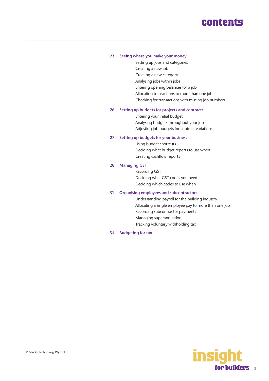# **contents**

### **[23 Seeing where you make your money](#page-22-0)**

Setting up jobs and categories Creating a new job Creating a new category Analysing jobs within jobs Entering opening balances for a job Allocating transactions to more than one job Checking for transactions with missing job numbers

### **[26 Setting up budgets for projects and contracts](#page-25-0)**

Entering your initial budget Analysing budgets throughout your job Adjusting job budgets for contract variations

### **[27 Setting up budgets for your business](#page-26-0)**

Using budget shortcuts Deciding what budget reports to use when Creating cashflow reports

#### **[28 Managing GST](#page-27-0)**

Recording GST Deciding what GST codes you need Deciding which codes to use when

#### **[31 Organising employees and subcontractors](#page-30-0)**

Understanding payroll for the building industry Allocating a single employee pay to more than one job Recording subcontractor payments Managing superannuation Tracking voluntary withholding tax

**[34 Budgeting for tax](#page-33-0)**

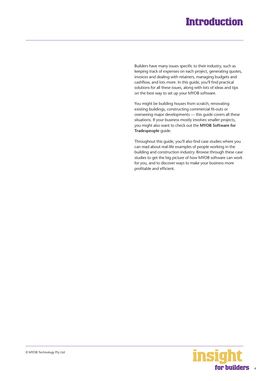# **Introduction**

<span id="page-3-0"></span>Builders have many issues specific to their industry, such as keeping track of expenses on each project, generating quotes, invoices and dealing with retainers, managing budgets and cashflow, and lots more. In this guide, you'll find practical solutions for all these issues, along with lots of ideas and tips on the best way to set up your MYOB software.

You might be building houses from scratch, renovating existing buildings, constructing commercial fit-outs or overseeing major developments — this guide covers all these situations. If your business mostly involves smaller projects, you might also want to check out the **MYOB Software for Tradespeople** guide.

Throughout this guide, you'll also find case studies where you can read about real-life examples of people working in the building and construction industry. Browse through these case studies to get the big picture of how MYOB software can work for you, and to discover ways to make your business more profitable and efficient.

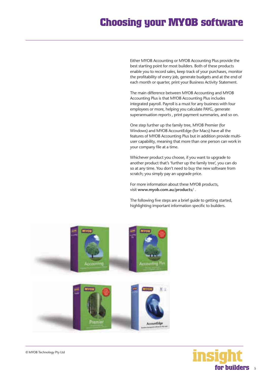# <span id="page-4-0"></span>**Choosing your MYOB software**

Either MYOB Accounting or MYOB Accounting Plus provide the best starting point for most builders. Both of these products enable you to record sales, keep track of your purchases, monitor the profitability of every job, generate budgets and at the end of each month or quarter, print your Business Activity Statement.

The main difference between MYOB Accounting and MYOB Accounting Plus is that MYOB Accounting Plus includes integrated payroll. Payroll is a must for any business with four employees or more, helping you calculate PAYG, generate superannuation reports , print payment summaries, and so on.

One step further up the family tree, MYOB Premier (for Windows) and MYOB AccountEdge (for Macs) have all the features of MYOB Accounting Plus but in addition provide multiuser capability, meaning that more than one person can work in your company file at a time.

Whichever product you choose, if you want to upgrade to another product that's 'further up the family tree', you can do so at any time. You don't need to buy the new software from scratch; you simply pay an upgrade price.

For more information about these MYOB products, visit **www.myob.com.au/products/** .

The following five steps are a brief guide to getting started, highlighting important information specific to builders.



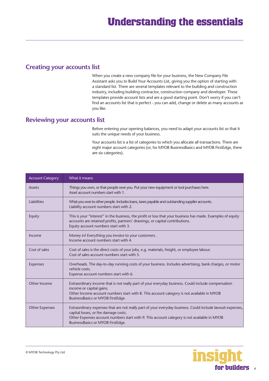### <span id="page-5-0"></span>**Creating your accounts list**

When you create a new company file for your business, the New Company File Assistant asks you to Build Your Accounts List, giving you the option of starting with a standard list. There are several templates relevant to the building and construction industry, including building contractor, construction company and developer. These templates provide account lists and are a good starting point. Don't worry if you can't find an accounts list that is perfect - you can add, change or delete as many accounts as you like.

### **Reviewing your accounts list**

Before entering your opening balances, you need to adapt your accounts list so that it suits the unique needs of your business.

Your accounts list is a list of categories to which you allocate all transactions. There are eight major account categories (or, for MYOB BusinessBasics and MYOB FirstEdge, there are six categories).

| <b>Account Category</b> | What it means                                                                                                                                                                                                                                                                           |
|-------------------------|-----------------------------------------------------------------------------------------------------------------------------------------------------------------------------------------------------------------------------------------------------------------------------------------|
| <b>Assets</b>           | Things you own, or that people owe you. Put your new equipment or tool purchases here.<br>Asset account numbers start with 1.                                                                                                                                                           |
| Liabilities             | What you owe to other people. Includes loans, taxes payable and outstanding supplier accounts.<br>Liability account numbers start with 2.                                                                                                                                               |
| Equity                  | This is your "interest" in the business, the profit or loss that your business has made. Examples of equity<br>accounts are retained profits, partners' drawings, or capital contributions.<br>Equity account numbers start with 3.                                                     |
| Income                  | Money in! Everything you invoice to your customers.<br>Income account numbers start with 4.                                                                                                                                                                                             |
| Cost of sales           | Cost of sales is the direct costs of your jobs, e.g. materials, freight, or employee labour.<br>Cost of sales account numbers start with 5.                                                                                                                                             |
| <b>Expenses</b>         | Overheads. The day-to-day running costs of your business. Includes advertising, bank charges, or motor<br>vehicle costs.<br>Expense account numbers start with 6.                                                                                                                       |
| Other Income            | Extraordinary income that is not really part of your everyday business. Could include compensation<br>income or capital gains.<br>Other Income account numbers start with 8. This account category is not available in MYOB<br>BusinessBasics or MYOB FirstEdge.                        |
| <b>Other Expenses</b>   | Extraordinary expenses that are not really part of your everyday business. Could include lawsuit expenses,<br>capital losses, or fire damage costs.<br>Other Expenses account numbers start with 9. This account category is not available in MYOB<br>BusinessBasics or MYOB FirstEdge. |

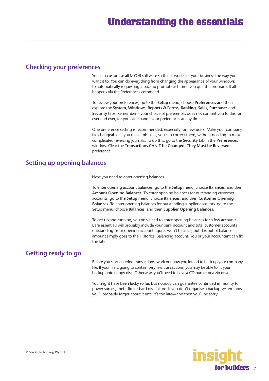### **Checking your preferences**

You can customise all MYOB software so that it works for your business the way you want it to. You can do everything from changing the appearance of your windows, to automatically requesting a backup prompt each time you quit the program. It all happens via the Preferences command.

To review your preferences, go to the **Setup** menu, choose **Preferences** and then explore the **System, Windows, Reports & Forms, Banking, Sales, Purchases** and **Security** tabs. Remember—your choice of preferences does not commit you to this for ever and ever, for you can change your preferences at any time.

One preference setting is recommended, especially for new users. Make your company file changeable. If you make mistakes, you can correct them, without needing to make complicated reversing journals. To do this, go to the **Security** tab in the **Preferences** window. Clear the **Transactions CAN'T be Changed; They Must be Reversed** preference.

### **Setting up opening balances**

Next you need to enter opening balances.

To enter opening account balances, go to the **Setup** menu, choose **Balances**, and then **Account Opening Balances**. To enter opening balances for outstanding customer accounts, go to the **Setup** menu, choose **Balances**, and then **Customer Opening Balances**. To enter opening balances for outstanding supplier accounts, go to the Setup menu, choose **Balances**, and then **Supplier Opening Balances**.

To get up and running, you only need to enter opening balances for a few accounts. Bare essentials will probably include your bank account and total customer accounts outstanding. Your opening account figures won't balance, but this out of balance amount simply goes to the Historical Balancing account. You or your accountant can fix this later.

# **Getting ready to go**

Before you start entering transactions, work out how you intend to back up your company file. If your file is going to contain very few transactions, you may be able to fit your backup onto floppy disk. Otherwise, you'll need to have a CD burner or a zip drive.

You might have been lucky so far, but nobody can guarantee continued immunity to power surges, theft, fire or hard disk failure. If you don't organise a backup system now, you'll probably forget about it until it's too late—and then you'll be sorry.

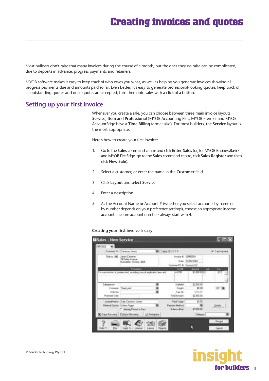# **Creating invoices and quotes**

<span id="page-7-0"></span>Most builders don't raise that many invoices during the course of a month, but the ones they do raise can be complicated, due to deposits in advance, progress payments and retainers.

MYOB software makes it easy to keep track of who owes you what, as well as helping you generate invoices showing all progress payments due and amounts paid so far. Even better, it's easy to generate professional-looking quotes, keep track of all outstanding quotes and once quotes are accepted, turn them into sales with a click of a button.

### **Setting up your first invoice**

Whenever you create a sale, you can choose between three main invoice layouts: **Service, Item** and **Professional** (MYOB Accounting Plus, MYOB Premier and MYOB AccountEdge have a **Time Billing** format also). For most builders, the **Service** layout is the most appropriate.

Here's how to create your first invoice:

- 1. Go to the **Sales** command centre and click **Enter Sales** (or, for MYOB BusinessBasics and MYOB FirstEdge, go to the **Sales** command centre, click **Sales Register** and then click **New Sale**).
- 2. Select a customer, or enter the name in the **Customer** field.
- 3. Click **Layout** and select **Service**.
- 4. Enter a description.
- 5. As the Account Name or Account # (whether you select accounts by name or by number depends on your preference settings), choose an appropriate income account. Income account numbers always start with **4**.

### **Creating your first invoice is easy**

| Customer 431                          | [Calveron, Januar                                                                                            | I Twee GLCOD                                                     |                                                    | <b>P Technistis</b> |
|---------------------------------------|--------------------------------------------------------------------------------------------------------------|------------------------------------------------------------------|----------------------------------------------------|---------------------|
| Digital Call                          | Janes Caneren<br>34 Daltay Avenue<br>Musulakan Vistoria (XXV)                                                | tronica B. 0000004<br>Date: 17/06/2003<br>*FD B Guin AZE         |                                                    |                     |
|                                       | <b>D'escapon</b><br>for construction of genten shed, including council replication fees and                  | 7.44941<br>4.2282                                                | Amort<br><b>CHEST</b>                              | a s<br>w            |
| Sérienne<br>Ship Vite<br>Forming Date | Connert Thiet pid                                                                                            | Sibhahak<br><b>Finishi</b><br>Tas.rdi.<br>- Total Amount         | \$2,000.00<br>\$1.00<br>$9.4 - 1.0$<br>\$2,900.00. |                     |
|                                       | Stored Mater: LS de Tacerre, Janes<br><b>Rainod Source: Video Pager</b><br>Alexandr Times Present or Service | <b><i>Pad Today</i></b><br>Famed Hellsid<br><b>Belenser Dues</b> | 21.86<br>如果防备                                      | C-Definition        |

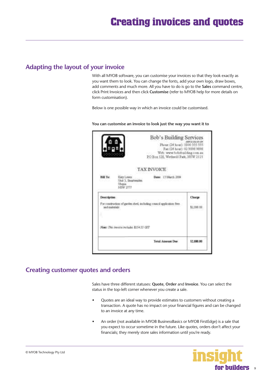## **Adapting the layout of your invoice**

With all MYOB software, you can customise your invoices so that they look exactly as you want them to look. You can change the fonts, add your own logo, draw boxes, add comments and much more. All you have to do is go to the **Sales** command centre, click Print Invoices and then click **Customise** (refer to MYOB help for more details on form customisation).

Below is one possible way in which an invoice could be customised.

|                                          |                                                                           | Bob's Building Services<br>Adamsio 212 sinn ann<br>Fhome (24 hour): 1800 555 555<br>Fax (24 hour) (2 9292 929)<br>Web: www.bebshuilding.com.au<br>PO Box 128, Wethwill Park, NSW 2121 |
|------------------------------------------|---------------------------------------------------------------------------|---------------------------------------------------------------------------------------------------------------------------------------------------------------------------------------|
|                                          | <b>TAX INVOICE</b>                                                        |                                                                                                                                                                                       |
| <b>Hill Tar</b>                          | Kidy Lewis<br>Unit 3, Smattersiten<br><b>Uhopia</b><br><b>LISTAS SYST</b> | Date: 13 March 2014                                                                                                                                                                   |
| Description :<br>signification fast<br>۰ | For construction of gurinn shed, including council application from       | Charge<br>\$2,720.00                                                                                                                                                                  |
|                                          | Note: This investa includes \$254.15 CIT?                                 |                                                                                                                                                                                       |
|                                          |                                                                           | Total Amerget Due<br>12,606.00                                                                                                                                                        |

**You can customise an invoice to look just the way you want it to**

### **Creating customer quotes and orders**

Sales have three different statuses: **Quote**, **Order** and **Invoice**. You can select the status in the top-left corner whenever you create a sale.

- Quotes are an ideal way to provide estimates to customers without creating a transaction. A quote has no impact on your financial figures and can be changed to an invoice at any time.
- An order (not available in MYOB BusinessBasics or MYOB FirstEdge) is a sale that you expect to occur sometime in the future. Like quotes, orders don't affect your financials; they merely store sales information until you're ready.



9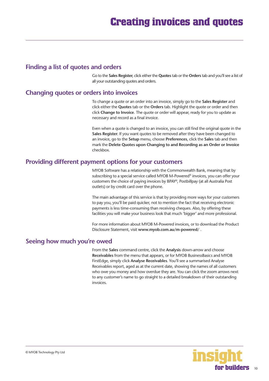### **Finding a list of quotes and orders**

Go to the **Sales Register**, click either the **Quotes** tab or the **Orders** tab and you'll see a list of all your outstanding quotes and orders.

### **Changing quotes or orders into invoices**

To change a quote or an order into an invoice, simply go to the **Sales Register** and click either the **Quotes** tab or the **Orders** tab. Highlight the quote or order and then click **Change to Invoice**. The quote or order will appear, ready for you to update as necessary and record as a final invoice.

Even when a quote is changed to an invoice, you can still find the original quote in the **Sales Register**. If you want quotes to be removed after they have been changed to an invoice, go to the **Setup** menu, choose **Preferences**, click the **Sales** tab and then mark the **Delete Quotes upon Changing to and Recording as an Order or Invoice** checkbox.

### **Providing different payment options for your customers**

MYOB Software has a relationship with the Commonwealth Bank, meaning that by subscribing to a special service called MYOB M-Powered® invoices, you can offer your customers the choice of paying invoices by BPAY®, Postbillpay (at all Australia Post outlets) or by credit card over the phone.

The main advantage of this service is that by providing more ways for your customers to pay you, you'll be paid quicker, not to mention the fact that receiving electronic payments is less time-consuming than receiving cheques. Also, by offering these facilities you will make your business look that much 'bigger' and more professional.

For more information about MYOB M-Powered invoices, or to download the Product Disclosure Statement, visit **www.myob.com.au/m-powered/** .

### **Seeing how much you're owed**

From the **Sales** command centre, click the **Analysis** down-arrow and choose **Receivables** from the menu that appears, or for MYOB BusinessBasics and MYOB FirstEdge, simply click **Analyse Receivables**. You'll see a summarised Analyse Receivables report, aged as at the current date, showing the names of all customers who owe you money and how overdue they are. You can click the zoom arrows next to any customer's name to go straight to a detailed breakdown of their outstanding invoices.

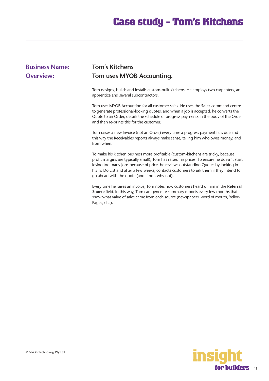# **Case study - Tom's Kitchens**

# <span id="page-10-0"></span>**Business Name: Tom's Kitchens**

# **Overview:** Tom uses MYOB Accounting.

Tom designs, builds and installs custom-built kitchens. He employs two carpenters, an apprentice and several subcontractors.

Tom uses MYOB Accounting for all customer sales. He uses the **Sales** command centre to generate professional-looking quotes, and when a job is accepted, he converts the Quote to an Order, details the schedule of progress payments in the body of the Order and then re-prints this for the customer.

Tom raises a new Invoice (not an Order) every time a progress payment falls due and this way the Receivables reports always make sense, telling him who owes money, and from when.

To make his kitchen business more profitable (custom-kitchens are tricky, because profit margins are typically small), Tom has raised his prices. To ensure he doesn't start losing too many jobs because of price, he reviews outstanding Quotes by looking in his To Do List and after a few weeks, contacts customers to ask them if they intend to go ahead with the quote (and if not, why not).

Every time he raises an invoice, Tom notes how customers heard of him in the **Referral Source** field. In this way, Tom can generate summary reports every few months that show what value of sales came from each source (newspapers, word of mouth, Yellow Pages, etc.).

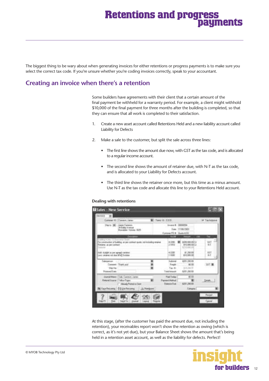# **Retentions and progress payments**

<span id="page-11-0"></span>The biggest thing to be wary about when generating invoices for either retentions or progress payments is to make sure you select the correct tax code. If you're unsure whether you're coding invoices correctly, speak to your accountant.

## **Creating an invoice when there's a retention**

Some builders have agreements with their client that a certain amount of the final payment be withheld for a warranty period. For example, a client might withhold \$10,000 of the final payment for three months after the building is completed, so that they can ensure that all work is completed to their satisfaction.

- 1. Create a new asset account called Retentions Held and a new liability account called Liability for Defects
- 2. Make a sale to the customer, but split the sale across three lines:
	- The first line shows the amount due now, with GST as the tax code, and is allocated to a regular income account.
	- The second line shows the amount of retainer due, with N-T as the tax code, and is allocated to your Liability for Defects account.
	- The third line shows the retainer once more, but this time as a minus amount. Use N-T as the tax code and allocate this line to your Retentions Held account.

### **Dealing with retentions**

| w                                                                      | Cumplet (Brill Service, Lanes)                                     |                 | 8 Tays 0. COD                                           |                                                                        | U Tachekine |
|------------------------------------------------------------------------|--------------------------------------------------------------------|-----------------|---------------------------------------------------------|------------------------------------------------------------------------|-------------|
| The to 190                                                             | <b>Janet Canerey</b><br>34 Saley Freeza<br>Hondaler Values 3525    |                 | Eatone (1) E. Barn 422                                  | on 8 ISSUED<br>Tues (11/18/2003)                                       |             |
| Fadding to DeLt. TJ Eleterrorius Struits                               |                                                                    |                 |                                                         | 10111011                                                               | Two:        |
| Hadamer, pc per context                                                | The London of the Bird of the market guilty, he following receives |                 | 4 DS<br>204183                                          | <b>1200,000,000 CH</b><br><b>BY ELMINOLD BY CLE</b><br><b>CTS-R4-R</b> | 쀲           |
| nation lappear was at interest<br>and the of the sale isn't legislate. |                                                                    |                 | 4.1799<br>11690                                         | <b>11,700,00</b><br><b>JEED BROOT</b>                                  | 罰           |
| Coleopartum<br>Cernett Their and<br>SNHMA<br>Peymont Date:             |                                                                    |                 | <b>Subscript</b><br>Fingh<br>Tac H<br><b>East knock</b> | 422,330.00<br><b>3110</b><br>SVR 260 M<br><b>LTP_SELED</b>             | 7848        |
| <b>Journal Massic</b><br><b>Giorno Insere: l'Inter-Fazer</b>           | Trake Community Joseph<br>Heads Farest in Term                     |                 | <b>Fled Today</b><br>and Visitical<br>Edward Dut        | 90.133<br>4317.0033                                                    | Driam 1     |
|                                                                        | O'Karfiscova 03 Uniferents                                         | Like Foreignman |                                                         | <b>Simpse</b>                                                          |             |
|                                                                        |                                                                    |                 |                                                         |                                                                        | Recipit     |

At this stage, (after the customer has paid the amount due, not including the retention), your receivables report won't show the retention as owing (which is correct, as it's not yet due), but your Balance Sheet shows the amount that's being held in a retention asset account, as well as the liability for defects. Perfect!

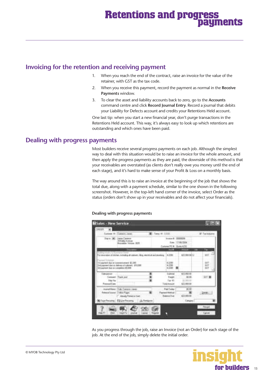# **Retentions and progress payments**

### **Invoicing for the retention and receiving payment**

- 1. When you reach the end of the contract, raise an invoice for the value of the retainer, with GST as the tax code.
- 2. When you receive this payment, record the payment as normal in the **Receive Payments** window.
- 3. To clear the asset and liability accounts back to zero, go to the **Accounts** command centre and click **Record Journal Entry**. Record a journal that debits your Liability for Defects account and credits your Retentions Held account.

One last tip: when you start a new financial year, don't purge transactions in the Retentions Held account. This way, it's always easy to look up which retentions are outstanding and which ones have been paid.

### **Dealing with progress payments**

Most builders receive several progress payments on each job. Although the simplest way to deal with this situation would be to raise an invoice for the whole amount, and then apply the progress payments as they are paid, the downside of this method is that your receivables are overstated (as clients don't really owe you money until the end of each stage), and it's hard to make sense of your Profit & Loss on a monthly basis.

The way around this is to raise an invoice at the beginning of the job that shows the total due, along with a payment schedule, similar to the one shown in the following screenshot. However, in the top-left hand corner of the invoice, select Order as the status (orders don't show up in your receivables and do not affect your financials).

#### **El Salas - New Service** *CARDON* э  $v_{\rm rms} \in \pm 0.01$ if Tarkis a 8 TERRATA Eas: 17/06/2004 **FCA Ham 678** attraceuto wr Mus. ele ser dan in communicated \$2,200<br>hard dan in delivery of a gloried \$10,000<br>with the incompanies \$1,000 H 僵  $\blacksquare$ Suit  $1 - 300$ **Connect That you** arrie ٠ Twidth 3100 **Use the** far is  $\overline{\mathbf{m}}$ company Factory **Krist** show Far u **ALIMAN A** 凗 **Futbol of Science COMMA Bissens Dier** Alexander Primered at Start **COUNTIN** Cana

**Dealing with progress payments**

As you progress through the job, raise an Invoice (not an Order) for each stage of the job. At the end of the job, simply delete the initial order.

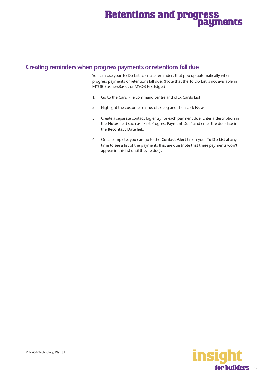# **Retentions and progress payments**

### **Creating reminders when progress payments or retentions fall due**

You can use your To Do List to create reminders that pop up automatically when progress payments or retentions fall due. (Note that the To Do List is not available in MYOB BusinessBasics or MYOB FirstEdge.)

- 1. Go to the **Card File** command centre and click **Cards List**.
- 2. Highlight the customer name, click Log and then click **New**.
- 3. Create a separate contact log entry for each payment due. Enter a description in the **Notes** field such as "First Progress Payment Due" and enter the due date in the **Recontact Date** field.
- 4. Once complete, you can go to the **Contact Alert** tab in your **To Do List** at any time to see a list of the payments that are due (note that these payments won't appear in this list until they're due).

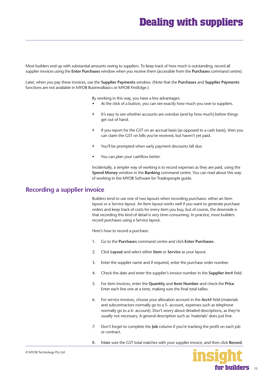# **Dealing with suppliers**

<span id="page-14-0"></span>Most builders end up with substantial amounts owing to suppliers. To keep track of how much is outstanding, record all supplier invoices using the **Enter Purchases** window when you receive them (accessible from the **Purchases** command centre).

Later, when you pay these invoices, use the **Supplier Payments** window. (Note that the **Purchases** and **Supplier Payments** functions are not available in MYOB BusinessBasics or MYOB FirstEdge.)

By working in this way, you have a few advantages:

- At the click of a button, you can see exactly how much you owe to suppliers.
- It's easy to see whether accounts are overdue (and by how much) before things get out of hand.
- If you report for the GST on an accrual basis (as opposed to a cash basis), then you can claim the GST on bills you've received, but haven't yet paid.
- You'll be prompted when early payment discounts fall due.
- You can plan your cashflow better.

Incidentally, a simpler way of working is to record expenses as they are paid, using the **Spend Money** window in the **Banking** command centre. You can read about this way of working in the MYOB Software for Tradespeople guide.

### **Recording a supplier invoice**

Builders tend to use one of two layouts when recording purchases: either an Item layout or a Service layout. An Item layout works well if you want to generate purchase orders and keep track of costs for every item you buy, but of course, the downside is that recording this kind of detail is very time-consuming. In practice, most builders record purchases using a Service layout.

Here's how to record a purchase:

- 1. Go to the **Purchases** command centre and click **Enter Purchases**.
- 2. Click **Layout** and select either **Item** or **Service** as your layout.
- 3. Enter the supplier name and if required, enter the purchase order number.
- 4. Check the date and enter the supplier's invoice number in the **Supplier Inv#** field.
- 5. For item invoices, enter the **Quantity** and **Item Number** and check the **Price**. Enter each line one at a time, making sure the final total tallies.
- 6. For service invoices, choose your allocation account in the **Acct#** field (materials and subcontractors normally go to a 5- account, expenses such as telephone normally go to a 6- account). Don't worry about detailed descriptions, as they're usually not necessary. A general description such as 'materials' does just fine.
- 7. Don't forget to complete the **Job** column if you're tracking the profit on each job or contract.
- 8. Make sure the GST total matches with your supplier invoice, and then click **Record**.

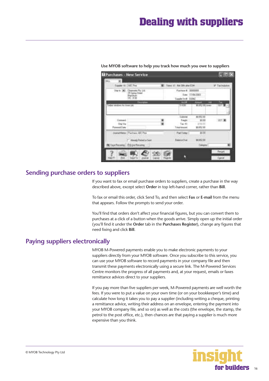# **Dealing with suppliers**

| Supple ID: LIST Fire                                                      | Tens CT Nat 3th and DM                |                              | <b>P</b> Tachdulus |
|---------------------------------------------------------------------------|---------------------------------------|------------------------------|--------------------|
| Clearman Pts 11d.<br>tex (d):<br>(fi Spanji Street)<br>Blastburs<br>TE ME | Francis #. 2000000<br>September 13502 | Day 17/00000                 |                    |
| <b>Henrich</b><br>seller second ex for the con-                           | $1 + 10E$                             | <b>311 EFG! IXI, connec-</b> | <b>Part</b>        |
| Denisé                                                                    | 1.0000.00<br><b>Tiaute</b>            | <b>MRID</b><br><b>MIDO</b>   | 2013               |
| <b>Ing Vie</b><br><b>Futurest Earn:</b>                                   | Tailor:<br>Total datument:            | <b>ATTN:</b><br>\$1.8%2.00   |                    |
| <b>Joana Marco - Auchann ART Free</b>                                     | Fac'l Mar                             | \$170                        |                    |
| boudy Presed in Sure                                                      | <b>Revealier</b>                      | <b>MAY, 107</b>              |                    |
| 00 Your Recoins: 70 United and                                            |                                       | <b>Calegral</b>              |                    |

### **Use MYOB software to help you track how much you owe to suppliers**

# **Sending purchase orders to suppliers**

If you want to fax or email purchase orders to suppliers, create a purchase in the way described above, except select **Order** in top left-hand corner, rather than **Bill**.

To fax or email this order, click Send To, and then select **Fax** or **E-mail** from the menu that appears. Follow the prompts to send your order.

You'll find that orders don't affect your financial figures, but you can convert them to purchases at a click of a button when the goods arrive. Simply open up the initial order (you'll find it under the **Order** tab in the **Purchases Register**), change any figures that need fixing and click **Bill**.

### **Paying suppliers electronically**

MYOB M-Powered payments enable you to make electronic payments to your suppliers directly from your MYOB software. Once you subscribe to this service, you can use your MYOB software to record payments in your company file and then transmit these payments electronically using a secure link. The M-Powered Services Centre monitors the progress of all payments and, at your request, emails or faxes remittance advices direct to your suppliers.

If you pay more than five suppliers per week, M-Powered payments are well worth the fees. If you were to put a value on your own time (or on your bookkeeper's time) and calculate how long it takes you to pay a supplier (including writing a cheque, printing a remittance advice, writing their address on an envelope, entering the payment into your MYOB company file, and so on) as well as the costs (the envelope, the stamp, the petrol to the post office, etc.), then chances are that paying a supplier is much more expensive than you think.

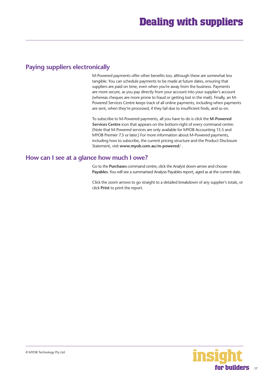### **Paying suppliers electronically**

M-Powered payments offer other benefits too, although these are somewhat less tangible. You can schedule payments to be made at future dates, ensuring that suppliers are paid on time, even when you're away from the business. Payments are more secure, as you pay directly from your account into your supplier's account (whereas cheques are more prone to fraud or getting lost in the mail). Finally, an M-Powered Services Centre keeps track of all online payments, including when payments are sent, when they're processed, if they fail due to insufficient finds, and so on.

To subscribe to M-Powered payments, all you have to do is click the **M-Powered Services Centre** icon that appears on the bottom-right of every command centre. (Note that M-Powered services are only available for MYOB Accounting 13.5 and MYOB Premier 7.5 or later.) For more information about M-Powered payments, including how to subscribe, the current pricing structure and the Product Disclosure Statement, visit **www.myob.com.au/m-powered/** .

### **How can I see at a glance how much I owe?**

Go to the **Purchases** command centre, click the Analyst down-arrow and choose **Payables**. You will see a summarised Analyse Payables report, aged as at the current date.

Click the zoom arrows to go straight to a detailed breakdown of any supplier's totals, or click **Print** to print the report.

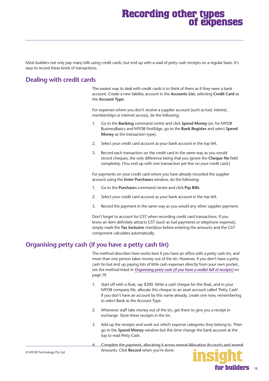# **Recording other types of expenses**

<span id="page-17-0"></span>Most builders not only pay many bills using credit cards, but end up with a wad of petty cash receipts on a regular basis. It's easy to record these kinds of transactions.

## **Dealing with credit cards**

The easiest way to deal with credit cards is to think of them as if they were a bank account. Create a new liability account in the **Accounts List**, selecting **Credit Card** as the **Account Type**.

For expenses where you don't receive a supplier account (such as fuel, interest, memberships or internet access), do the following:

- 1. Go to the **Banking** command centre and click **Spend Money** (or, for MYOB BusinessBasics and MYOB FirstEdge, go to the **Bank Register** and select **Spend Money** as the transaction type).
- 2. Select your credit card account as your bank account in the top left.
- 3. Record each transaction on the credit card in the same way as you would record cheques, the only difference being that you ignore the **Cheque No** field completely. (You end up with one transaction per line on your credit card.)

For payments on your credit card where you have already recorded the supplier account using the **Enter Purchases** window, do the following:

- 1. Go to the **Purchases** command centre and click **Pay Bills**.
- 2. Select your credit card account as your bank account in the top left.
- 3. Record the payment in the same way as you would any other supplier payment.

Don't forget to account for GST when recording credit card transactions. If you know an item definitely attracts GST (such as fuel payments or telephone expense), simply mark the **Tax Inclusive** checkbox before entering the amounts and the GST component calculates automatically.

### **Organising petty cash (if you have a petty cash tin)**

The method describes here works best if you have an office with a petty cash tin, and more than one person takes money out of the tin. However, if you don't have a petty cash tin but end up paying lots of little cash expenses directly from your own pocket, see the method listed in *[Organising petty cash \(if you have a wallet full of receipts\)](#page-18-0)* on page 19.

- 1. Start off with a float, say \$200. Write a cash cheque for this float, and in your MYOB company file, allocate this cheque to an asset account called 'Petty Cash'. If you don't have an account by this name already, create one now, remembering to select Bank as the Account Type.
- 2. Whenever staff take money out of the tin, get them to give you a receipt in exchange. Store these receipts in the tin.
- 3. Add up the receipts and work out which expense categories they belong to. Then go to the **Spend Money** window but this time change the bank account at the top to read Petty Cash.
- 4. Complete the payment, allocating it across several Allocation Accounts and several Amounts. Click **Record** when you're done.

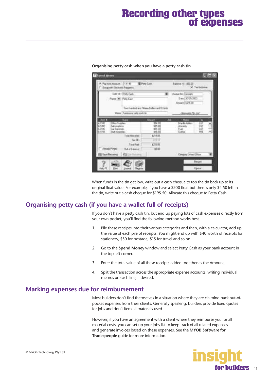# **Recording other types of expenses**

| F. Farmenhouse, 111161<br>Compatible that Page to                                                                                              | <b>Rimey Cam</b>                             | $B$ shower $C = 150.25$                                     | <sup>1</sup> Tailfield my                       |
|------------------------------------------------------------------------------------------------------------------------------------------------|----------------------------------------------|-------------------------------------------------------------|-------------------------------------------------|
| Sat & (Petrian<br>Faxe 36 FeloCadi                                                                                                             |                                              | Departs: Immin<br>Dete   30/05/3833<br><b>MARK 1575 III</b> |                                                 |
| Massac Randows pells said: In:                                                                                                                 | Two Hundred and Filtern Dallars and G Center | L'étérome Pet Lin                                           |                                                 |
| <b>TAXER</b><br><b>Signal</b><br>63180<br>Offere Trappleto<br>5 Annual Ave.<br>6-1200<br>Си Сцинині<br>1-2100<br>封顶<br><b>Traft Tementings</b> | o<br>\$54.000<br>355.00<br>173.00            | <b>IVEL</b><br>Marsha S<br>Annexts<br>Fiat:<br>Cohee        | Ter<br><b>UST</b><br>÷.<br>957<br>ü11<br>班<br>٠ |
| Takat Alkal await<br>Teacht.<br>Total Part<br><b><i><u>Inglic Pirent</u></i></b><br>Dut of Balancer<br>CO Secritations (22 Unit)               | ENGIL<br>PH 16<br>\$715.00<br>\$110          | Cangoy   Head   Plus                                        |                                                 |
|                                                                                                                                                |                                              |                                                             | Regeli                                          |
| Halp P1                                                                                                                                        | <b>Therakked</b>                             |                                                             | <b>Cased</b>                                    |

### <span id="page-18-0"></span>**Organising petty cash when you have a petty cash tin**

When funds in the tin get low, write out a cash cheque to top the tin back up to its original float value. For example, if you have a \$200 float but there's only \$4.50 left in the tin, write out a cash cheque for \$195.50. Allocate this cheque to Petty Cash.

### **Organising petty cash (if you have a wallet full of receipts)**

If you don't have a petty cash tin, but end up paying lots of cash expenses directly from your own pocket, you'll find the following method works best.

- 1. Pile these receipts into their various categories and then, with a calculator, add up the value of each pile of receipts. You might end up with \$40 worth of receipts for stationery, \$50 for postage, \$15 for travel and so on.
- 2. Go to the **Spend Money** window and select Petty Cash as your bank account in the top left corner.
- 3. Enter the total value of all these receipts added together as the Amount.
- 4. Split the transaction across the appropriate expense accounts, writing individual memos on each line, if desired.

### **Marking expenses due for reimbursement**

Most builders don't find themselves in a situation where they are claiming back out-ofpocket expenses from their clients. Generally speaking, builders provide fixed quotes for jobs and don't item all materials used.

However, if you have an agreement with a client where they reimburse you for all material costs, you can set up your jobs list to keep track of all related expenses and generate invoices based on these expenses. See the **MYOB Software for Tradespeople** guide for more information.

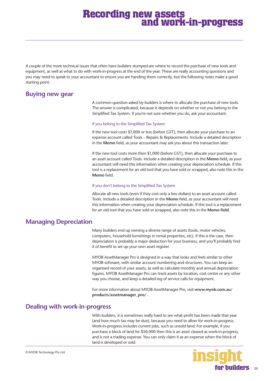# **Recording new assets and work-in-progress**

<span id="page-19-0"></span>A couple of the more technical issues that often have builders stumped are where to record the purchase of new tools and equipment, as well as what to do with work-in-progress at the end of the year. These are really accounting questions and you may need to speak to your accountant to ensure you are handing them correctly, but the following notes make a good starting point.

### **Buying new gear**

A common question asked by builders is where to allocate the purchase of new tools. The answer is complicated, because it depends on whether or not you belong to the Simplified Tax System. If you're not sure whether you do, ask your accountant.

### If you belong to the Simplified Tax System

If the new tool costs \$1,000 or less (before GST), then allocate your purchase to an expense account called Tools – Repairs & Replacements. Include a detailed description in the **Memo** field, as your accountant may ask you about this transaction later.

If the new tool costs more then \$1,000 (before GST), then allocate your purchase to an asset account called Tools. Include a detailed description in the **Memo** field, as your accountant will need this information when creating your depreciation schedule. If this tool is a replacement for an old tool that you have sold or scrapped, also note this in the **Memo** field.

### If you don't belong to the Simplified Tax System

Allocate all new tools (even if they cost only a few dollars) to an asset account called Tools. Include a detailed description in the **Memo** field, as your accountant will need this information when creating your depreciation schedule. If this tool is a replacement for an old tool that you have sold or scrapped, also note this in the **Memo field**.

### **Managing Depreciation**

Many builders end up owning a diverse range of assets (tools, motor vehicles, computers, household furnishings in rental properties, etc). If this is the case, then depreciation is probably a major deduction for your business, and you'll probably find it of benefit to set up your own asset register.

MYOB AssetManager Pro is designed in a way that looks and feels similar to other MYOB software, with similar account numbering and structures. You can keep an organised record of your assets, as well as calculate monthly and annual depreciation figures. MYOB AssetManager Pro can track assets by location, cost centre or any other way you choose, and keep a detailed log of service calls for equipment.

For more information about MYOB AssetManager Pro, visit **www.myob.com.au/ products/assetmanager\_pro/** .

### **Dealing with work-in-progress**

With builders, it is sometimes really hard to see what profit has been made that year (and how much tax may be due), because you need to allow for work-in-progress. Work-in-progress includes current jobs, such as unsold land. For example, if you purchase a block of land for \$50,000 then this is an asset classed as work-in-progress, and is not a trading expense. You can only claim it as an expense when the block of land is developed or sold.

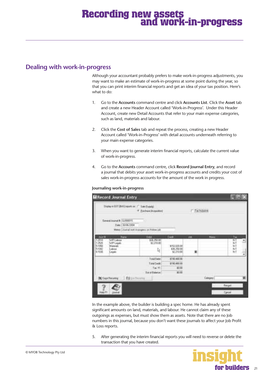# **Recording new assets and work-in-progress**

### **Dealing with work-in-progress**

Although your accountant probably prefers to make work-in-progress adjustments, you may want to make an estimate of work-in-progress at some point during the year, so that you can print interim financial reports and get an idea of your tax position. Here's what to do:

- 1. Go to the **Accounts** command centre and click **Accounts List**. Click the **Asset** tab and create a new Header Account called 'Work-in-Progress'. Under this Header Account, create new Detail Accounts that refer to your main expense categories, such as land, materials and labour.
- 2. Click the **Cost of Sales** tab and repeat the process, creating a new Header Account called 'Work-in-Progress' with detail accounts underneath referring to your main expense categories.
- 3. When you want to generate interim financial reports, calculate the current value of work-in-progress.
- 4. Go to the **Accounts** command centre, click **Record Journal Entry**, and record a journal that debits your asset work-in-progress accounts and credits your cost of sales work-in-progress accounts for the amount of the work in progress.

### **Journaling work-in-progress**

|                                           | <b>El Record Journal Entry</b>                |                                                                                                                     |                                                      |                                         |                |        |          | ●画×            |
|-------------------------------------------|-----------------------------------------------|---------------------------------------------------------------------------------------------------------------------|------------------------------------------------------|-----------------------------------------|----------------|--------|----------|----------------|
|                                           |                                               | Done will! BAN resolved ?" See David<br><sup>14</sup> Euchare Pictarement                                           |                                                      |                                         | <b>Clanses</b> |        |          |                |
|                                           | General Anarysi N. (GJ000011)                 | Date: 130/06/2004<br>Metal: <i>License</i> vent-in progress on Holmes (ds.<br><b>All Description of the Company</b> | <b>SOLUTION AND COMPANY</b>                          |                                         |                |        |          |                |
| $A$ cot B                                 | <b>Name</b><br>WIFFLabura                     |                                                                                                                     | <b>THE COMPANY</b><br>18,70.00                       | Costs:                                  | <b>AND</b>     | a.     | tu-      |                |
| 13802<br>1388<br>11000<br>TVIDU!<br>61536 | WIFLAGE:<br><b>Malendo</b><br>Labout<br>Leper |                                                                                                                     | \$2,230.00<br>Þ,                                     | 1:52.520.00<br>\$36,250.00<br>\$2210.00 |                |        | 医皮肤皮肤    | $\blacksquare$ |
|                                           |                                               |                                                                                                                     | <b>Trautive</b>                                      | \$7.95.400.181                          |                |        |          |                |
|                                           |                                               |                                                                                                                     | Tidal Contin<br>Tai <sup>co</sup><br>The of Balancer | \$110,400.00<br>抑度<br>mm                |                |        |          |                |
|                                           | 30 Tape Finishing                             | <b>Co</b> the General                                                                                               |                                                      |                                         |                | Cerase |          |                |
|                                           |                                               |                                                                                                                     |                                                      |                                         |                |        | Regel :: |                |
| Heli Ff                                   |                                               |                                                                                                                     |                                                      |                                         |                |        | Earne    |                |

In the example above, the builder is building a spec home. He has already spent significant amounts on land, materials, and labour. He cannot claim any of these outgoings as expenses, but must show them as assets. Note that there are no Job numbers in this journal, because you don't want these journals to affect your Job Profit & Loss reports.

5. After generating the interim financial reports you will need to reverse or delete the transaction that you have created.

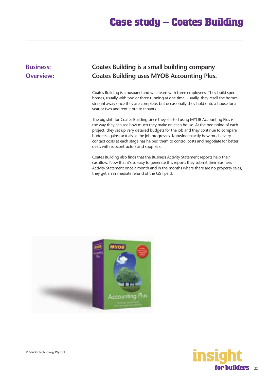# **Case study – Coates Building**

# <span id="page-21-0"></span>**Business: Coates Building is a small building company Overview: Coates Building uses MYOB Accounting Plus.**

Coates Building is a husband and wife team with three employees. They build spec homes, usually with two or three running at one time. Usually, they resell the homes straight away once they are complete, but occasionally they hold onto a house for a year or two and rent it out to tenants.

The big shift for Coates Building since they started using MYOB Accounting Plus is the way they can see how much they make on each house. At the beginning of each project, they set up very detailed budgets for the job and they continue to compare budgets against actuals as the job progresses. Knowing exactly how much every contact costs at each stage has helped them to control costs and negotiate for better deals with subcontractors and suppliers.

Coates Building also finds that the Business Activity Statement reports help their cashflow. Now that it's so easy to generate this report, they submit their Business Activity Statement once a month and in the months where there are no property sales, they get an immediate refund of the GST paid.



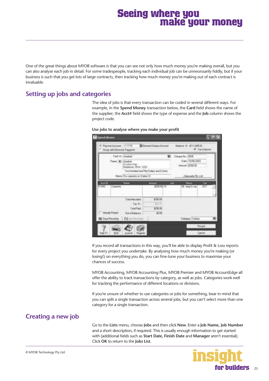# **Seeing where you make your money**

<span id="page-22-0"></span>One of the great things about MYOB software is that you can see not only how much money you're making overall, but you can also analyse each job in detail. For some tradespeople, tracking each individual job can be unnecessarily fiddly, but if your business is such that you get lots of large contracts, then tracking how much money you're making out of each contract is invaluable.

# **Setting up jobs and categories**

The idea of jobs is that every transaction can be coded in several different ways. For example, in the **Spend Money** transaction below, the **Card** field shows the name of the supplier; the **Acct#** field shows the type of expense and the **Job** column shows the project code.

|                    |                   | C Sing with Dictions Pagern                                   |                                                 |    |                                                                 | <b>SF Tax Hollower</b> |  |
|--------------------|-------------------|---------------------------------------------------------------|-------------------------------------------------|----|-----------------------------------------------------------------|------------------------|--|
|                    | Figure 301 Academ | Card (D) (Veladrat)<br><b>ZLutte War</b><br>Hopetmen ROW 2222 | Two Hundred and FRy Dollars and D Clerks        | w. | <b>Elegan No. 19116</b><br>Dee: 10/06/2003<br>Annuné : \$250.00 |                        |  |
|                    |                   | Mason For carpents art Statue St                              |                                                 |    | Domini Par List                                                 |                        |  |
| m<br><b>STB42</b>  | Carberlin         | New                                                           | \$250.00 SS                                     |    | SB (wig.to.ua)                                                  | 011                    |  |
| -<br>Mendy Pressed |                   | Toke Mounted:<br>Tax 15<br>Told Past<br><b>Out of Balance</b> | \$250.00<br>621.73<br>\$250.00<br><b>SILLER</b> |    |                                                                 |                        |  |
| DO Taye Recurring  |                   | 69.1                                                          |                                                 |    | Calegar Suites                                                  |                        |  |

**Use jobs to analyse where you make your profit** 

If you record all transactions in this way, you'll be able to display Profit & Loss reports for every project you undertake. By analysing how much money you're making (or losing!) on everything you do, you can fine-tune your business to maximise your chances of success.

MYOB Accounting, MYOB Accounting Plus, MYOB Premier and MYOB AccountEdge all offer the ability to track transactions by category, as well as jobs. Categories work well for tracking the performance of different locations or divisions.

If you're unsure of whether to use categories or jobs for something, bear in mind that you can split a single transaction across several jobs, but you can't select more than one category for a single transaction.

# **Creating a new job**

Go to the **Lists** menu, choose **Jobs** and then click **New**. Enter a **Job Name, Job Number** and a short description, if required. This is usually enough information to get started with (additional fields such as **Start Date, Finish Date** and **Manager** aren't essential). Click **OK** to return to the **Jobs List**.



23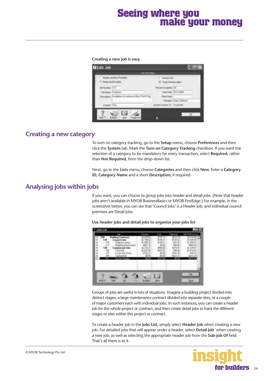# **Seeing where you make your money**

#### **Creating a new job is easy**



### **Creating a new category**

To turn on category tracking, go to the **Setup** menu, choose **Preferences** and then click the **System** tab. Mark the **Turn on Category Tracking** checkbox. If you want the selection of a category to be mandatory for every transaction, select **Required**, rather than **Not Required**, from the drop-down list.

Next, go to the **Lists** menu, choose **Categories** and then click **New**. Enter a **Category ID, Category Name** and a short **Description**, if required.

### **Analysing jobs within jobs**

If you want, you can choose to group jobs into header and detail jobs. (Note that header jobs aren't available in MYOB BusinessBasics or MYOB FirstEdge.) For example, in the screenshot below, you can see that 'Council Jobs' is a Header Job, and individual council premises are Detail Jobs.

| ati<br>12 | ä<br>$\overline{1}$ | <b>HIJPA</b><br>÷<br>91.73 |
|-----------|---------------------|----------------------------|
|           | سروع                |                            |

**Use header jobs and detail jobs to organise your jobs list**

Groups of jobs are useful in lots of situations. Imagine a building project divided into distinct stages, a large maintenance contract divided into separate sites, or a couple of major customers each with individual jobs. In such instances, you can create a header job for the whole project or contract, and then create detail jobs to track the different stages or sites within this project or contract.

To create a header job in the **Jobs List**, simply select **Header Job** when creating a new job. For detailed jobs that will appear under a header, select **Detail Job** when creating a new job, as well as selecting the appropriate header job from the **Sub-job Of** field. That's all there is to it.



24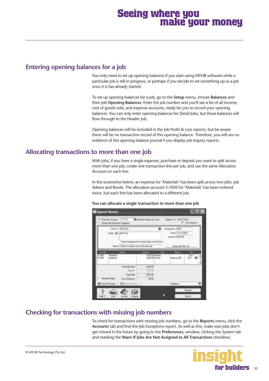# **Seeing where you make your money**

## **Entering opening balances for a job**

You only need to set up opening balances if you start using MYOB software while a particular job is still in progress, or perhaps if you decide to set something up as a job once it is has already started.

To set up opening balances for a job, go to the **Setup** menu, choose **Balances** and then Job **Opening Balances**. Enter the job number and you'll see a list of all income, cost of goods sold, and expense accounts, ready for you to record your opening balances. You can only enter opening balances for Detail Jobs, but these balances will flow through to the Header Job.

Opening balances will be included in the Job Profit & Loss reports, but be aware there will be no transaction record of this opening balance. Therefore, you will see no evidence of this opening balance journal if you display job inquiry reports.

### **Allocating transactions to more than one job**

With jobs, if you have a single expense, purchase or deposit you want to split across more than one job, create one transaction line per job, and use the same Allocation Account on each line.

In the screenshot below, an expense for 'Materials' has been split across two jobs: job Adams and Bowle. The allocation account 5-1050 for 'Materials' has been entered twice, but each line has been allocated to a different job.

| 11118<br>The Francisco and<br><b>ALCOHOL:</b>                                             | <b>Willens Chuse Scouts</b>                  | Sales V: 110, TOUR                                 | W.Tachato               |
|-------------------------------------------------------------------------------------------|----------------------------------------------|----------------------------------------------------|-------------------------|
| Cast to JARL Fire<br>Fam #LidEFire                                                        |                                              | Dean No. 1991.<br>bee ITAL pp-<br>Hidden CEUZIS DE |                         |
| Hand Teller In Edges of the North off                                                     | Tines thanked and Tiverty Dullan and D Cares | Drawer Ph 2N                                       |                         |
| <b>But Britain</b><br><b>There</b> is<br><b>Muterial</b><br>$\frac{1780}{1900}$<br>Manuta | m<br>\$120.000 Adams<br>\$200.00 lioux       |                                                    | To<br>387<br><b>BEE</b> |
| Tritial Allincolni<br>Tae III.<br>TiddiTieli                                              | <b>CERLOR</b><br>gen<br><b>4/199.00</b>      |                                                    |                         |
| <b>Book Pinter</b><br>Til # of Eldight @<br><b>DC</b> Tape Receive 1 03 (out for every)   | #0.00                                        | <b>Cargo</b>                                       |                         |

### **You can allocate a single transaction to more than one job**

# **Checking for transactions with missing job numbers**

To check for transactions with missing job numbers, go to the **Reports** menu, click the **Accounts** tab and find the Job Exceptions report. As well as this, make sure jobs don't get missed in the future by going to the **Preferences**, window, clicking the System tab and marking the **Warn If Jobs Are Not Assigned to All Transactions** checkbox.

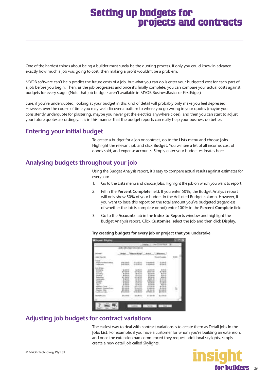# **Setting up budgets for projects and contracts**

<span id="page-25-0"></span>One of the hardest things about being a builder must surely be the quoting process. If only you could know in advance exactly how much a job was going to cost, then making a profit wouldn't be a problem.

MYOB software can't help predict the future costs of a job, but what you can do is enter your budgeted cost for each part of a job before you begin. Then, as the job progresses and once it's finally complete, you can compare your actual costs against budgets for every stage. (Note that job budgets aren't available in MYOB BusinessBasics or FirstEdge.)

Sure, if you've underquoted, looking at your budget in this kind of detail will probably only make you feel depressed. However, over the course of time you may well discover a pattern to where you go wrong in your quotes (maybe you consistently underquote for plastering, maybe you never get the electrics anywhere close), and then you can start to adjust your future quotes accordingly. It is in this manner that the budget reports can really help your business do better.

# **Entering your initial budget**

To create a budget for a job or contract, go to the **Lists** menu and choose **Jobs**. Highlight the relevant job and click **Budget**. You will see a list of all income, cost of goods sold, and expense accounts. Simply enter your budget estimates here.

# **Analysing budgets throughout your job**

Using the Budget Analysis report, it's easy to compare actual results against estimates for every job:

- 1. Go to the **Lists** menu and choose **Jobs**. Highlight the job on which you want to report.
- 2. Fill in the **Percent Complete** field. If you enter 50%, the Budget Analysis report will only show 50% of your budget in the Adjusted Budget column. However, if you want to base this report on the total amount you've budgeted (regardless of whether the job is complete or not) enter 100% in the **Percent Complete** field.
- 3. Go to the **Accounts** tab in the **Index to Reports** window and highlight the Budget Analysis report. Click **Customise**, select the Job and then click **Display**.

|   |           | Hickert Blvern |  |  |
|---|-----------|----------------|--|--|
|   |           |                |  |  |
|   |           |                |  |  |
|   | 1. IL 314 |                |  |  |
| m |           |                |  |  |
|   |           |                |  |  |

### **Try creating budgets for every job or project that you undertake**

# **Adjusting job budgets for contract variations**

The easiest way to deal with contract variations is to create them as Detail Jobs in the **Jobs List**. For example, if you have a customer for whom you're building an extension, and once the extension had commenced they request additional skylights, simply create a new detail job called Skylights.

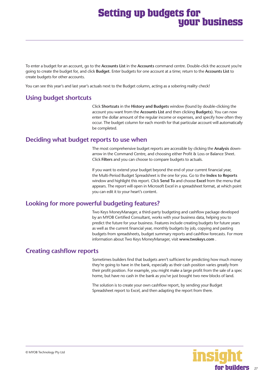# **Setting up budgets for your business**

<span id="page-26-0"></span>To enter a budget for an account, go to the **Accounts List** in the **Accounts** command centre. Double-click the account you're going to create the budget for, and click **Budget**. Enter budgets for one account at a time; return to the **Accounts List** to create budgets for other accounts.

You can see this year's and last year's actuals next to the Budget column, acting as a sobering reality check!

## **Using budget shortcuts**

Click **Shortcuts** in the **History and Budgets** window (found by double-clicking the account you want from the **Accounts List** and then clicking **Budgets**). You can now enter the dollar amount of the regular income or expenses, and specify how often they occur. The budget column for each month for that particular account will automatically be completed.

### **Deciding what budget reports to use when**

The most comprehensive budget reports are accessible by clicking the **Analysis** downarrow in the Command Centre, and choosing either Profit & Loss or Balance Sheet. Click **Filters** and you can choose to compare budgets to actuals.

If you want to extend your budget beyond the end of your current financial year, the Multi-Period Budget Spreadsheet is the one for you. Go to the **Index to Reports** window and highlight this report. Click **Send To** and choose **Excel** from the menu that appears. The report will open in Microsoft Excel in a spreadsheet format, at which point you can edit it to your heart's content.

### **Looking for more powerful budgeting features?**

Two Keys MoneyManager, a third-party budgeting and cashflow package developed by an MYOB Certified Consultant, works with your business data, helping you to predict the future for your business. Features include creating budgets for future years as well as the current financial year, monthly budgets by job, copying and pasting budgets from spreadsheets, budget summary reports and cashflow forecasts. For more information about Two Keys MoneyManager, visit **www.twokeys.com** .

### **Creating cashflow reports**

Sometimes builders find that budgets aren't sufficient for predicting how much money they're going to have in the bank, especially as their cash position varies greatly from their profit position. For example, you might make a large profit from the sale of a spec home, but have no cash in the bank as you've just bought two new blocks of land.

The solution is to create your own cashflow report, by sending your Budget Spreadsheet report to Excel, and then adapting the report from there.

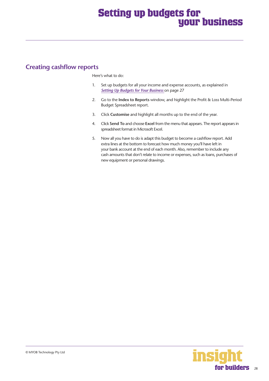# **Setting up budgets for your business**

# <span id="page-27-0"></span>**Creating cashflow reports**

Here's what to do:

- 1. Set up budgets for all your income and expense accounts, as explained in *[Setting Up Budgets for Your Business](#page-26-0)* on page 27
- 2. Go to the **Index to Reports** window, and highlight the Profit & Loss Multi-Period Budget Spreadsheet report.
- 3. Click **Customise** and highlight all months up to the end of the year.
- 4. Click **Send To** and choose **Excel** from the menu that appears. The report appears in spreadsheet format in Microsoft Excel.
- 5. Now all you have to do is adapt this budget to become a cashflow report. Add extra lines at the bottom to forecast how much money you'll have left in your bank account at the end of each month. Also, remember to include any cash amounts that don't relate to income or expenses, such as loans, purchases of new equipment or personal drawings.

28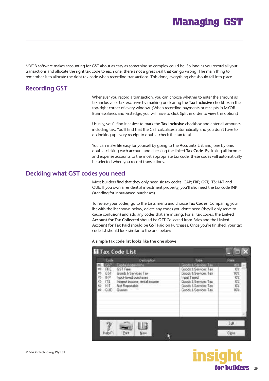# **Managing GST**

MYOB software makes accounting for GST about as easy as something so complex could be. So long as you record all your transactions and allocate the right tax code to each one, there's not a great deal that can go wrong. The main thing to remember is to allocate the right tax code when recording transactions. This done, everything else should fall into place.

# **Recording GST**

Whenever you record a transaction, you can choose whether to enter the amount as tax-inclusive or tax-exclusive by marking or clearing the **Tax Inclusive** checkbox in the top-right corner of every window. (When recording payments or receipts in MYOB BusinessBasics and FirstEdge, you will have to click **Split** in order to view this option.)

Usually, you'll find it easiest to mark the **Tax Inclusive** checkbox and enter all amounts including tax. You'll find that the GST calculates automatically and you don't have to go looking up every receipt to double-check the tax total.

You can make life easy for yourself by going to the **Accounts List** and, one by one, double-clicking each account and checking the linked **Tax Code**. By linking all income and expense accounts to the most appropriate tax code, these codes will automatically be selected when you record transactions.

### **Deciding what GST codes you need**

Most builders find that they only need six tax codes: CAP; FRE; GST; ITS; N-T and QUE. If you own a residential investment property, you'll also need the tax code INP (standing for input-taxed purchases).

To review your codes, go to the **Lists** menu and choose **Tax Codes**. Comparing your list with the list shown below, delete any codes you don't need (they'll only serve to cause confusion) and add any codes that are missing. For all tax codes, the **Linked Account for Tax Collected** should be GST Collected from Sales and the **Linked Account for Tax Paid** should be GST Paid on Purchases. Once you're finished, your tax code list should look similar to the one below:

#### **A simple tax code list looks like the one above**

| Code                                                                                | <b>Description</b>                                                                                                                                      | <b>Lynn</b>                                                                                                                                                            | Rate                   |
|-------------------------------------------------------------------------------------|---------------------------------------------------------------------------------------------------------------------------------------------------------|------------------------------------------------------------------------------------------------------------------------------------------------------------------------|------------------------|
| <b>DAP</b><br>FRE<br>GST<br>INP<br>ф<br>i5<br>ITS<br>$\mathsf{N} \mathsf{T}$<br>QUE | Capital Acquisitions<br><b>GST Fiem</b><br>Good: & Services Tax<br>Input-taxed purchases<br>Interest income, rental income<br>Not Reportable<br>Queries | <b>Goods &amp; Services Tax</b><br>Goods & Services Tax<br>Goods & Services Tax<br>Input Taxed<br>Goods & Services Tax<br>Goods & Services Tax<br>Goods & Services Tax | m<br>01<br>10%<br>Bass |
| Hab F1                                                                              | Print<br>Nmv                                                                                                                                            |                                                                                                                                                                        | Edit<br>Clone          |

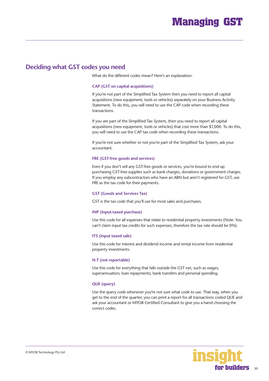### **Deciding what GST codes you need**

What do the different codes mean? Here's an explanation:

#### **CAP (GST on capital acquisitions)**

If you're not part of the Simplified Tax System then you need to report all capital acquisitions (new equipment, tools or vehicles) separately on your Business Activity Statement. To do this, you will need to use the CAP code when recording these transactions.

If you are part of the Simplified Tax System, then you need to report all capital acquisitions (new equipment, tools or vehicles) that cost more than \$1,000. To do this, you will need to use the CAP tax code when recording these transactions.

If you're not sure whether or not you're part of the Simplified Tax System, ask your accountant.

#### **FRE (GST-free goods and services)**

Even if you don't sell any GST-free goods or services, you're bound to end up purchasing GST-free supplies such as bank charges, donations or government charges. If you employ any subcontractors who have an ABN but aren't registered for GST, use FRE as the tax code for their payments.

#### **GST (Goods and Services Tax)**

GST is the tax code that you'll use for most sales and purchases.

#### **INP (input-taxed purchase)**

Use this code for all expenses that relate to residential property investments (Note: You can't claim input tax credits for such expenses, therefore the tax rate should be 0%).

#### **ITS (input taxed sale)**

Use this code for interest and dividend income and rental income from residential property investments.

#### **N-T (not reportable)**

Use this code for everything that falls outside the GST net, such as wages; superannuation; loan repayments; bank transfers and personal spending.

#### **QUE (query)**

Use the query code whenever you're not sure what code to use. That way, when you get to the end of the quarter, you can print a report for all transactions coded QUE and ask your accountant or MYOB Certified Consultant to give you a hand choosing the correct codes.

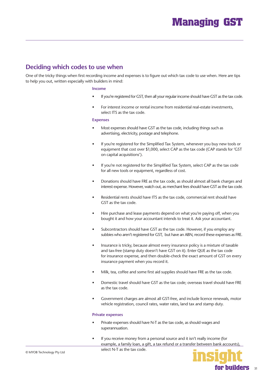# <span id="page-30-0"></span>**Deciding which codes to use when**

One of the tricky things when first recording income and expenses is to figure out which tax code to use when. Here are tips to help you out, written especially with builders in mind:

#### **Income**

- If you're registered for GST, then all your regular income should have GST as the tax code.
- For interest income or rental income from residential real-estate investments, select ITS as the tax code.

### **Expenses**

- Most expenses should have GST as the tax code, including things such as advertising, electricity, postage and telephone.
- If you're registered for the Simplified Tax System, whenever you buy new tools or equipment that cost over \$1,000, select CAP as the tax code (CAP stands for 'GST on capital acquisitions').
- If you're not registered for the Simplified Tax System, select CAP as the tax code for all new tools or equipment, regardless of cost.
- Donations should have FRE as the tax code, as should almost all bank charges and interest expense. However, watch out, as merchant fees should have GST as the tax code.
- Residential rents should have ITS as the tax code, commercial rent should have GST as the tax code.
- Hire purchase and lease payments depend on what you're paying off, when you bought it and how your accountant intends to treat it. Ask your accountant.
- Subcontractors should have GST as the tax code. However, if you employ any subbies who aren't registered for GST, but have an ABN, record these expenses as FRE.
- Insurance is tricky, because almost every insurance policy is a mixture of taxable and tax-free (stamp duty doesn't have GST on it). Enter QUE as the tax code for insurance expense, and then double-check the exact amount of GST on every insurance payment when you record it.
- Milk, tea, coffee and some first aid supplies should have FRE as the tax code.
- Domestic travel should have GST as the tax code; overseas travel should have FRE as the tax code.
- Government charges are almost all GST-free, and include licence renewals, motor vehicle registration, council rates, water rates, land tax and stamp duty.

### **Private expenses**

- Private expenses should have N-T as the tax code, as should wages and superannuation.
- If you receive money from a personal source and it isn't really income (for example, a family loan, a gift, a tax refund or a transfer between bank accounts), select N-T as the tax code.

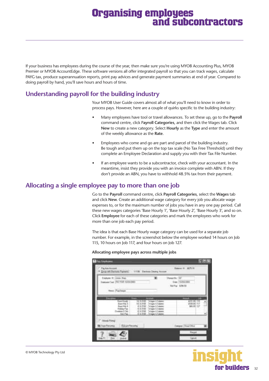# **Organising employees and subcontractors**

If your business has employees during the course of the year, then make sure you're using MYOB Accounting Plus, MYOB Premier or MYOB AccountEdge. These software versions all offer integrated payroll so that you can track wages, calculate PAYG tax, produce superannuation reports, print pay advices and generate payment summaries at end of year. Compared to doing payroll by hand, you'll save hours and hours of time.

# **Understanding payroll for the building industry**

Your MYOB User Guide covers almost all of what you'll need to know in order to process pays. However, here are a couple of quirks specific to the building industry:

- Many employees have tool or travel allowances. To set these up, go to the **Payroll** command centre, click P**ayroll Categories**, and then click the Wages tab. Click **New** to create a new category. Select **Hourly** as the **Type** and enter the amount of the weekly allowance as the **Rate**.
- Employees who come and go are part and parcel of the building industry. Be tough and put them up on the top tax scale (No Tax Free Threshold) until they complete an Employee Declaration and supply you with their Tax File Number.
- If an employee wants to be a subcontractor, check with your accountant. In the meantime, insist they provide you with an invoice complete with ABN. If they don't provide an ABN, you have to withhold 48.5% tax from their payment.

### **Allocating a single employee pay to more than one job**

Go to the **Payroll** command centre, click **Payroll Categories**, select the **Wages** tab and click **New**. Create an additional wage category for every job you allocate wage expenses to, or for the maximum number of jobs you have in any one pay period. Call these new wages categories 'Base Hourly 1', 'Base Hourly 2', 'Base Hourly 3', and so on. Click **Employee** for each of these categories and mark the employees who work for more than one job each pay period.

The idea is that each Base Hourly wage category can be used for a separate job number. For example, in the screenshot below the employee worked 14 hours on Job 115, 10 hours on Job 117, and four hours on Job 127.

**Allocating employee pays across multiple jobs**

| <b>Salure II</b> (Jane Rap)                                           |                                                                                                                                                                                         | Desette 36      |  |
|-----------------------------------------------------------------------|-----------------------------------------------------------------------------------------------------------------------------------------------------------------------------------------|-----------------|--|
| Internet Tool   First VLID 12/23-2003                                 |                                                                                                                                                                                         | Two TERRISHT    |  |
| <b>Service Discover</b>                                               |                                                                                                                                                                                         | Rei-Fax 4,06.03 |  |
| <b>Based Hits</b><br><b>Janet Frida</b><br>and FREE<br><b>See Fax</b> | <b>Contract Academy</b><br>8.7222<br>trigger & Labeler<br>1.766<br>Wager L'Edivie<br>8.3100<br>9.3100<br>Wager & Salare<br>Infaster & Stationis<br><b>Winger &amp; Eatoms</b><br>13.300 | œ<br>4221       |  |

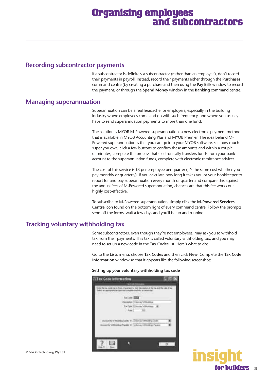# **Organising employees and subcontractors**

### **Recording subcontractor payments**

If a subcontractor is definitely a subcontractor (rather than an employee), don't record their payments in payroll. Instead, record their payments either through the **Purchases** command centre (by creating a purchase and then using the **Pay Bills** window to record the payment) or through the **Spend Money** window in the **Banking** command centre.

### **Managing superannuation**

Superannuation can be a real headache for employers, especially in the building industry where employees come and go with such frequency, and where you usually have to send superannuation payments to more than one fund.

The solution is MYOB M-Powered superannuation, a new electronic payment method that is available in MYOB Accounting Plus and MYOB Premier. The idea behind M-Powered superannuation is that you can go into your MYOB software, see how much super you owe, click a few buttons to confirm these amounts and within a couple of minutes, complete the process that electronically transfers funds from your bank account to the superannuation funds, complete with electronic remittance advices.

The cost of this service is \$3 per employee per quarter (it's the same cost whether you pay monthly or quarterly). If you calculate how long it takes you or your bookkeeper to report for and pay superannuation every month or quarter and compare this against the annual fees of M-Powered superannuation, chances are that this fee works out highly cost-effective.

To subscribe to M-Powered superannuation, simply click the **M-Powered Services Centre** icon found on the bottom right of every command centre. Follow the prompts, send off the forms, wait a few days and you'll be up and running.

### **Tracking voluntary withholding tax**

Some subcontractors, even though they're not employees, may ask you to withhold tax from their payments. This tax is called voluntary withholding tax, and you may need to set up a new code in the **Tax Codes** list. Here's what to do:

Go to the **Lists** menu, choose **Tax Codes** and then click **New**. Complete the **Tax Code Information** window so that it appears like the following screenshot:

| Setting up your voluntary withholding tax code |  |
|------------------------------------------------|--|
|------------------------------------------------|--|





33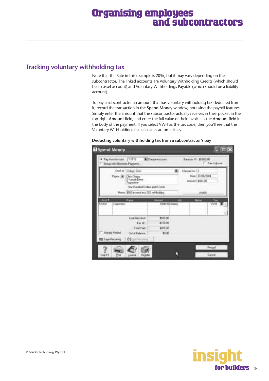# <span id="page-33-0"></span>**Tracking voluntary withholding tax**

Note that the Rate in this example is 20%, but it may vary depending on the subcontractor. The linked accounts are Voluntary Withholding Credits (which should be an asset account) and Voluntary Withholdings Payable (which should be a liability account).

To pay a subcontractor an amount that has voluntary withholding tax deducted from it, record the transaction in the **Spend Money** window, not using the payroll features. Simply enter the amount that the subcontractor actually receives in their pocket in the top-right **Amount** field, and enter the full value of their invoice as the **Amount** field in the body of the payment. If you select VWH as the tax code, then you'll see that the Voluntary Withholdings tax calculates automatically.

| Fachun Account: [1-1110]<br>z<br>Group with Electronic Plansents  | <b>Bithega Account</b>                                                                     |                                   | Bayer 0 \$8,80.00                                                 | Tachclasse       |
|-------------------------------------------------------------------|--------------------------------------------------------------------------------------------|-----------------------------------|-------------------------------------------------------------------|------------------|
| Eard @: Chasy, Chee<br>Fayer W. Chry Diegy<br>Tragerstew<br>Manut | 2 Kansain Drive<br>Four Hundred Dollari: and B Cents<br>\$500 invoice less 20% withholding |                                   | Chingue No.: 22<br>Date: 17/06/2004<br>Assault \$400.00<br>UGURZE |                  |
| Austit<br>Nane<br>51030<br>Caperino                               |                                                                                            | <b>Barnett</b><br>\$500.00 Adams  | 廷<br><b>Hence</b>                                                 | Tax<br>NWH       |
| المنابع<br><b>Siend</b> Period<br><b>CO</b> Tayo Restance         | Total Abicated:<br>$Tm \in$<br>Tuna Fact<br>Dut of Balance:<br><b>Clinichement</b>         | 控制面<br>\$100.00<br>\$400.00<br>期限 |                                                                   |                  |
| Print<br>Help FT<br><b>Jisan</b>                                  | Thepider                                                                                   |                                   |                                                                   | Feegel<br>Cancel |

### **Deducting voluntary withholding tax from a subcontractor's pay**